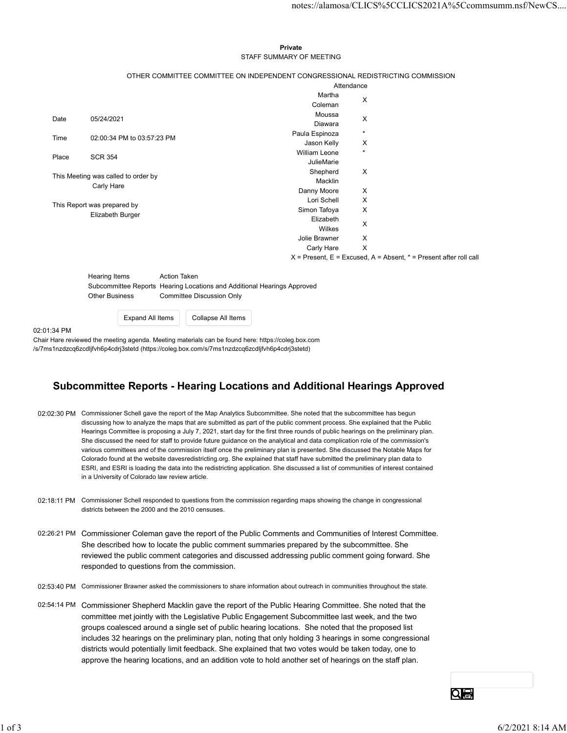## Private **Private** and *Private* and *Private* and *Private* and *Private* and *Private* and *Private* and *Private* and *Private* and *Private* and *Private* and *Private* and *Private* and *Private* and *Private* and *Pri* STAFF SUMMARY OF MEETING

|          |                                                                                                                        |                                                                                 |                                     |                                           | notes://alamosa/CLICS%5CCLICS2021A%5Ccommsumm.nsf/NewCS                   |  |
|----------|------------------------------------------------------------------------------------------------------------------------|---------------------------------------------------------------------------------|-------------------------------------|-------------------------------------------|---------------------------------------------------------------------------|--|
|          |                                                                                                                        |                                                                                 |                                     |                                           |                                                                           |  |
|          |                                                                                                                        |                                                                                 |                                     |                                           |                                                                           |  |
|          |                                                                                                                        |                                                                                 | Private<br>STAFF SUMMARY OF MEETING |                                           |                                                                           |  |
|          |                                                                                                                        |                                                                                 |                                     |                                           |                                                                           |  |
|          |                                                                                                                        | OTHER COMMITTEE COMMITTEE ON INDEPENDENT CONGRESSIONAL REDISTRICTING COMMISSION |                                     | Attendance                                |                                                                           |  |
|          |                                                                                                                        |                                                                                 | Martha                              | X                                         |                                                                           |  |
|          |                                                                                                                        |                                                                                 | Coleman<br>Moussa                   |                                           |                                                                           |  |
| Date     | 05/24/2021                                                                                                             |                                                                                 | Diawara                             | X                                         |                                                                           |  |
| Time     | 02:00:34 PM to 03:57:23 PM                                                                                             |                                                                                 | Paula Espinoza<br>Jason Kelly       | $\star$<br>X                              |                                                                           |  |
| Place    | <b>SCR 354</b>                                                                                                         |                                                                                 | William Leone                       | $\star$                                   |                                                                           |  |
|          |                                                                                                                        |                                                                                 | JulieMarie                          |                                           |                                                                           |  |
|          | This Meeting was called to order by                                                                                    |                                                                                 | Shepherd<br>Macklin                 | $\mathsf{X}$                              |                                                                           |  |
|          | Carly Hare                                                                                                             |                                                                                 | Danny Moore                         | $\boldsymbol{\mathsf{X}}$                 |                                                                           |  |
|          | This Report was prepared by                                                                                            |                                                                                 | Lori Schell<br>Simon Tafoya         | $\mathsf{X}$<br>$\boldsymbol{\mathsf{X}}$ |                                                                           |  |
|          | Elizabeth Burger                                                                                                       |                                                                                 | Elizabeth                           |                                           |                                                                           |  |
|          |                                                                                                                        |                                                                                 | Wilkes                              | X                                         |                                                                           |  |
|          |                                                                                                                        |                                                                                 | Jolie Brawner<br>Carly Hare         | X<br>$\mathsf{X}$                         |                                                                           |  |
|          |                                                                                                                        |                                                                                 |                                     |                                           | $X =$ Present, $E =$ Excused, $A =$ Absent, $* =$ Present after roll call |  |
|          |                                                                                                                        |                                                                                 |                                     |                                           |                                                                           |  |
|          | <b>Hearing Items</b><br><b>Action Taken</b><br>Subcommittee Reports Hearing Locations and Additional Hearings Approved |                                                                                 |                                     |                                           |                                                                           |  |
|          | <b>Other Business</b>                                                                                                  | <b>Committee Discussion Only</b>                                                |                                     |                                           |                                                                           |  |
|          |                                                                                                                        |                                                                                 |                                     |                                           |                                                                           |  |
|          | <b>Expand All Items</b>                                                                                                | Collapse All Items                                                              |                                     |                                           |                                                                           |  |
| 01:34 PM |                                                                                                                        |                                                                                 |                                     |                                           |                                                                           |  |

## Subcommittee Reports - Hearing Locations and Additional Hearings Approved

- 02:02:30 PM Commissioner Schell gave the report of the Map Analytics Subcommittee. She noted that the subcommittee has begun discussing how to analyze the maps that are submitted as part of the public comment process. She explained that the Public Hearings Committee is proposing a July 7, 2021, start day for the first three rounds of public hearings on the preliminary plan. She discussed the need for staff to provide future guidance on the analytical and data complication role of the commission's various committees and of the commission itself once the preliminary plan is presented. She discussed the Notable Maps for Colorado found at the website davesredistricting.org. She explained that staff have submitted the preliminary plan data to ESRI, and ESRI is loading the data into the redistricting application. She discussed a list of communities of interest contained in a University of Colorado law review article.
- 02:18:11 PM Commissioner Schell responded to questions from the commission regarding maps showing the change in congressional districts between the 2000 and the 2010 censuses.
- 02:26:21 PM Commissioner Coleman gave the report of the Public Comments and Communities of Interest Committee. She described how to locate the public comment summaries prepared by the subcommittee. She reviewed the public comment categories and discussed addressing public comment going forward. She responded to questions from the commission.
- 02:53:40 PM Commissioner Brawner asked the commissioners to share information about outreach in communities throughout the state.
- 02:54:14 PM Commissioner Shepherd Macklin gave the report of the Public Hearing Committee. She noted that the committee met jointly with the Legislative Public Engagement Subcommittee last week, and the two groups coalesced around a single set of public hearing locations. She noted that the proposed list includes 32 hearings on the preliminary plan, noting that only holding 3 hearings in some congressional districts would potentially limit feedback. She explained that two votes would be taken today, one to approve the hearing locations, and an addition vote to hold another set of hearings on the staff plan. 02:18:11 PM Commissioner Schol responsed to questors from the commission regarding maps showing the change in congressional<br>staticts between the 2000 and the 2010 censures.<br>
22:26:21 PM Commissioner Coleman gave the repor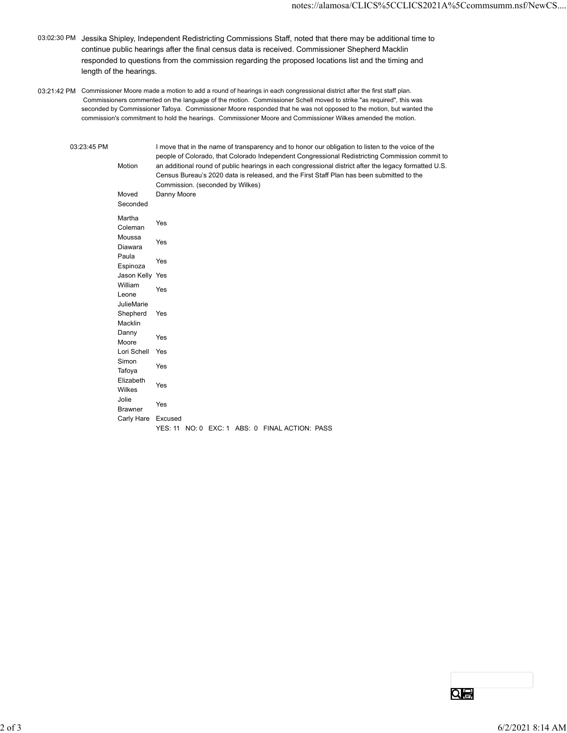- 03:02:30 PM Jessika Shipley, Independent Redistricting Commissions Staff, noted that there may be additional time to continue public hearings after the final census data is received. Commissioner Shepherd Macklin responded to questions from the commission regarding the proposed locations list and the timing and length of the hearings.
- 03:21:42 PM Commissioner Moore made a motion to add a round of hearings in each congressional district after the first staff plan. Commissioners commented on the language of the motion. Commissioner Schell moved to strike "as required", this was seconded by Commissioner Tafoya. Commissioner Moore responded that he was not opposed to the motion, but wanted the commission's commitment to hold the hearings. Commissioner Moore and Commissioner Wilkes amended the motion.

|             |                         | notes://alamosa/CLICS%5CCLICS2021A%5Ccommsumm.nsf/NewCS                                                                                                                                            |
|-------------|-------------------------|----------------------------------------------------------------------------------------------------------------------------------------------------------------------------------------------------|
|             |                         |                                                                                                                                                                                                    |
|             |                         | $^{\rm M}$ Jessika Shipley, Independent Redistricting Commissions Staff, noted that there may be additional time to                                                                                |
|             |                         | continue public hearings after the final census data is received. Commissioner Shepherd Macklin                                                                                                    |
|             |                         | responded to questions from the commission regarding the proposed locations list and the timing and                                                                                                |
|             | length of the hearings. |                                                                                                                                                                                                    |
|             |                         | M Commissioner Moore made a motion to add a round of hearings in each congressional district after the first staff plan.                                                                           |
|             |                         | Commissioners commented on the language of the motion. Commissioner Schell moved to strike "as required", this was                                                                                 |
|             |                         | seconded by Commissioner Tafoya. Commissioner Moore responded that he was not opposed to the motion, but wanted the                                                                                |
|             |                         | commission's commitment to hold the hearings. Commissioner Moore and Commissioner Wilkes amended the motion.                                                                                       |
|             |                         |                                                                                                                                                                                                    |
| 03:23:45 PM |                         | I move that in the name of transparency and to honor our obligation to listen to the voice of the                                                                                                  |
|             |                         | people of Colorado, that Colorado Independent Congressional Redistricting Commission commit to                                                                                                     |
|             | Motion                  | an additional round of public hearings in each congressional district after the legacy formatted U.S.<br>Census Bureau's 2020 data is released, and the First Staff Plan has been submitted to the |
|             |                         | Commission. (seconded by Wilkes)                                                                                                                                                                   |
|             | Moved                   | Danny Moore                                                                                                                                                                                        |
|             | Seconded                |                                                                                                                                                                                                    |
|             | Martha                  |                                                                                                                                                                                                    |
|             | Coleman                 | Yes                                                                                                                                                                                                |
|             | Moussa                  | Yes                                                                                                                                                                                                |
|             | Diawara<br>Paula        |                                                                                                                                                                                                    |
|             | Espinoza                | Yes                                                                                                                                                                                                |
|             | Jason Kelly Yes         |                                                                                                                                                                                                    |
|             | William                 | Yes                                                                                                                                                                                                |
|             | Leone                   |                                                                                                                                                                                                    |
|             | JulieMarie<br>Shepherd  | Yes                                                                                                                                                                                                |
|             | Macklin                 |                                                                                                                                                                                                    |
|             | Danny                   | Yes                                                                                                                                                                                                |
|             | Moore                   |                                                                                                                                                                                                    |
|             | Lori Schell<br>Simon    | Yes                                                                                                                                                                                                |
|             | Tafoya                  | Yes                                                                                                                                                                                                |
|             | Elizabeth               | Yes                                                                                                                                                                                                |
|             | Wilkes                  |                                                                                                                                                                                                    |
|             | Jolie<br><b>Brawner</b> | Yes                                                                                                                                                                                                |
|             | Carly Hare Excused      |                                                                                                                                                                                                    |
|             |                         | YES: 11 NO: 0 EXC: 1 ABS: 0 FINAL ACTION: PASS                                                                                                                                                     |
|             |                         |                                                                                                                                                                                                    |
|             |                         |                                                                                                                                                                                                    |
|             |                         |                                                                                                                                                                                                    |
|             |                         |                                                                                                                                                                                                    |